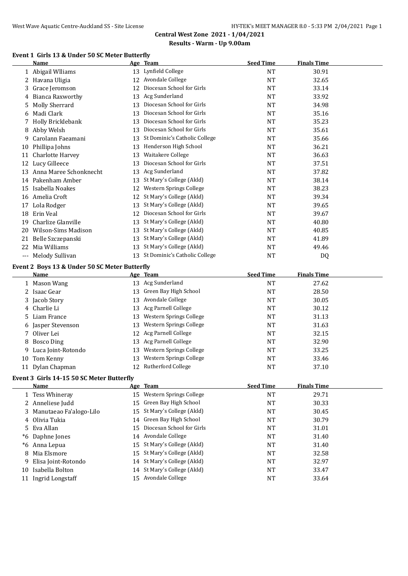#### **Event 1 Girls 13 & Under 50 SC Meter Butterfly**

|              | Name                                          | <u>Age Team</u>                                                | <b>Seed Time</b> | <b>Finals Time</b> |  |
|--------------|-----------------------------------------------|----------------------------------------------------------------|------------------|--------------------|--|
|              | 1 Abigail Wlliams                             | 13 Lynfield College                                            | <b>NT</b>        | 30.91              |  |
|              | 2 Havana Uligia                               | 12 Avondale College                                            | <b>NT</b>        | 32.65              |  |
|              | 3 Grace Jeromson                              | 12 Diocesan School for Girls                                   | <b>NT</b>        | 33.14              |  |
|              | 4 Bianca Raxworthy                            | 13 Acg Sunderland                                              | NT               | 33.92              |  |
|              | 5 Molly Sherrard                              | 13 Diocesan School for Girls                                   | <b>NT</b>        | 34.98              |  |
|              | 6 Madi Clark                                  | 13 Diocesan School for Girls                                   | NT               | 35.16              |  |
|              | 7 Holly Bricklebank                           | 13 Diocesan School for Girls                                   | <b>NT</b>        | 35.23              |  |
|              | 8 Abby Welsh                                  | 13 Diocesan School for Girls                                   | NT               | 35.61              |  |
|              | 9 Carolann Faeamani                           | 13 St Dominic's Catholic College                               | <b>NT</b>        | 35.66              |  |
|              | 10 Phillipa Johns                             | 13 Henderson High School                                       | <b>NT</b>        | 36.21              |  |
|              | 11 Charlotte Harvey                           | 13 Waitakere College                                           | <b>NT</b>        | 36.63              |  |
|              | 12 Lucy Gilleece                              | 13 Diocesan School for Girls                                   | <b>NT</b>        | 37.51              |  |
|              | 13 Anna Maree Schonknecht                     | 13 Acg Sunderland                                              | <b>NT</b>        | 37.82              |  |
|              | 14 Pakenham Amber                             | 13 St Mary's College (Akld)                                    | <b>NT</b>        | 38.14              |  |
|              | 15 Isabella Noakes                            | 12 Western Springs College                                     | <b>NT</b>        | 38.23              |  |
|              | 16 Amelia Croft                               | 12 St Mary's College (Akld)                                    | <b>NT</b>        | 39.34              |  |
|              | 17 Lola Rodger                                | 13 St Mary's College (Akld)                                    | <b>NT</b>        | 39.65              |  |
|              | 18 Erin Veal                                  | 12 Diocesan School for Girls                                   | NT               | 39.67              |  |
|              | 19 Charlize Glanville                         | 13 St Mary's College (Akld)                                    | <b>NT</b>        | 40.80              |  |
|              | 20 Wilson-Sims Madison                        | 13 St Mary's College (Akld)                                    | <b>NT</b>        | 40.85              |  |
|              | 21 Belle Szczepanski                          | 13 St Mary's College (Akld)                                    | <b>NT</b>        | 41.89              |  |
|              | 22 Mia Williams                               | 13 St Mary's College (Akld)                                    | NT               | 49.46              |  |
|              | --- Melody Sullivan                           | 13 St Dominic's Catholic College                               | <b>NT</b>        | DQ                 |  |
|              | Event 2 Boys 13 & Under 50 SC Meter Butterfly |                                                                |                  |                    |  |
|              | Name                                          | Age Team                                                       | <b>Seed Time</b> | <b>Finals Time</b> |  |
|              | 1 Mason Wang                                  | 13 Acg Sunderland                                              | <b>NT</b>        | 27.62              |  |
|              | 2 Isaac Gear                                  | 13 Green Bay High School                                       | <b>NT</b>        | 28.50              |  |
|              | 3 Jacob Story                                 | 13 Avondale College                                            | NT               | 30.05              |  |
|              | 4 Charlie Li                                  | 13 Acg Parnell College                                         | NT               | 30.12              |  |
|              | 5 Liam France                                 | 13 Western Springs College                                     | <b>NT</b>        | 31.13              |  |
|              | 6 Jasper Stevenson                            | 13 Western Springs College                                     | <b>NT</b>        | 31.63              |  |
|              | 7 Oliver Lei                                  | 12 Acg Parnell College                                         | <b>NT</b>        | 32.15              |  |
|              | 8 Bosco Ding                                  | 13 Acg Parnell College                                         | NT               | 32.90              |  |
|              | 9 Luca Joint-Rotondo                          | 13 Western Springs College                                     | <b>NT</b>        | 33.25              |  |
|              | 10 Tom Kenny                                  | 13 Western Springs College                                     | <b>NT</b>        | 33.46              |  |
|              | 11 Dylan Chapman                              | 12 Rutherford College                                          | <b>NT</b>        | 37.10              |  |
|              | Event 3 Girls 14-15 50 SC Meter Butterfly     |                                                                |                  |                    |  |
|              | Name                                          | Age Team                                                       | <b>Seed Time</b> | <b>Finals Time</b> |  |
| $\mathbf{1}$ | $T_{0.99}$ $Mh_{\rm in.922}$                  | 1 <sup><math>\blacksquare</math></sup> Western Carings College | <b>NIT</b>       | 20.71              |  |

|    | <b>Name</b>               | Age ream                     | seed lime | rinais Time |
|----|---------------------------|------------------------------|-----------|-------------|
|    | 1 Tess Whineray           | 15 Western Springs College   | <b>NT</b> | 29.71       |
|    | 2 Anneliese Judd          | 15 Green Bay High School     | <b>NT</b> | 30.33       |
|    | 3 Manutaeao Fa'alogo-Lilo | 15 St Mary's College (Akld)  | <b>NT</b> | 30.45       |
|    | 4 Olivia Tukia            | 14 Green Bay High School     | NT        | 30.79       |
|    | 5 Eva Allan               | 15 Diocesan School for Girls | NT        | 31.01       |
|    | <i>*6</i> Daphne Jones    | 14 Avondale College          | NT        | 31.40       |
|    | *6 Anna Lepua             | 15 St Mary's College (Akld)  | NT        | 31.40       |
| 8  | Mia Elsmore               | 15 St Mary's College (Akld)  | NT        | 32.58       |
| 9  | Elisa Joint-Rotondo       | 14 St Mary's College (Akld)  | <b>NT</b> | 32.97       |
| 10 | Isabella Bolton           | 14 St Mary's College (Akld)  | NT        | 33.47       |

11 Ingrid Longstaff 15 Avondale College 15 Avondale College 15 Avondale College 15 Avondale College 16 Avondale NT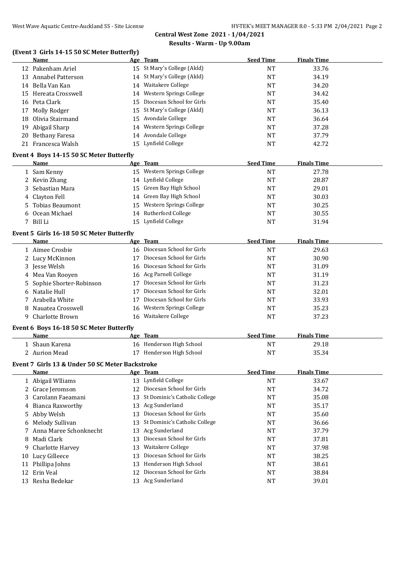#### **(Event 3 Girls 14-15 50 SC Meter Butterfly)**

|    | <b>Name</b>                                                    |    | Age Team                      | <b>Seed Time</b> | <b>Finals Time</b> |  |
|----|----------------------------------------------------------------|----|-------------------------------|------------------|--------------------|--|
|    | 12 Pakenham Ariel                                              |    | 15 St Mary's College (Akld)   | <b>NT</b>        | 33.76              |  |
|    | 13 Annabel Patterson                                           |    | 14 St Mary's College (Akld)   | <b>NT</b>        | 34.19              |  |
|    | 14 Bella Van Kan                                               |    | 14 Waitakere College          | <b>NT</b>        | 34.20              |  |
|    | 15 Hereata Crosswell                                           |    | 14 Western Springs College    | <b>NT</b>        | 34.42              |  |
|    | 16 Peta Clark                                                  |    | 15 Diocesan School for Girls  | NT               | 35.40              |  |
|    | 17 Molly Rodger                                                |    | 15 St Mary's College (Akld)   | NT               | 36.13              |  |
|    | 18 Olivia Stairmand                                            |    | 15 Avondale College           | NT               | 36.64              |  |
|    | 19 Abigail Sharp                                               |    | 14 Western Springs College    | NT               | 37.28              |  |
|    | 20 Bethany Faresa                                              |    | 14 Avondale College           | NT               | 37.79              |  |
|    | 21 Francesca Walsh                                             |    | 15 Lynfield College           | <b>NT</b>        | 42.72              |  |
|    |                                                                |    |                               |                  |                    |  |
|    | Event 4 Boys 14-15 50 SC Meter Butterfly<br>Name               |    | Age Team                      | <b>Seed Time</b> | <b>Finals Time</b> |  |
|    | 1 Sam Kenny                                                    |    | 15 Western Springs College    | <b>NT</b>        | 27.78              |  |
|    | 2 Kevin Zhang                                                  |    | 14 Lynfield College           | <b>NT</b>        | 28.87              |  |
|    | Sebastian Mara                                                 |    | 15 Green Bay High School      | <b>NT</b>        | 29.01              |  |
| 3  | 4 Clayton Fell                                                 |    | 14 Green Bay High School      |                  | 30.03              |  |
|    |                                                                |    | 15 Western Springs College    | NT               |                    |  |
| 5  | <b>Tobias Beaumont</b>                                         |    | 14 Rutherford College         | NT               | 30.25              |  |
|    | 6 Ocean Michael                                                |    | 15 Lynfield College           | NT               | 30.55              |  |
|    | 7 Bill Li                                                      |    |                               | NT               | 31.94              |  |
|    | Event 5 Girls 16-18 50 SC Meter Butterfly                      |    |                               |                  |                    |  |
|    | Name                                                           |    | Age Team                      | <b>Seed Time</b> | <b>Finals Time</b> |  |
|    | 1 Aimee Crosbie                                                |    | 16 Diocesan School for Girls  | <b>NT</b>        | 29.63              |  |
|    | 2 Lucy McKinnon                                                |    | 17 Diocesan School for Girls  | <b>NT</b>        | 30.90              |  |
|    | 3 Jesse Welsh                                                  |    | 16 Diocesan School for Girls  | NT               | 31.09              |  |
|    | 4 Mea Van Rooyen                                               |    | 16 Acg Parnell College        | NT               | 31.19              |  |
|    | Sophie Shorter-Robinson                                        |    | 17 Diocesan School for Girls  | NT               | 31.23              |  |
|    | 6 Natalie Hull                                                 |    | 17 Diocesan School for Girls  | NT               | 32.01              |  |
|    | 7 Arabella White                                               |    | 17 Diocesan School for Girls  | NT               | 33.93              |  |
| 8  | Nauatea Crosswell                                              |    | 16 Western Springs College    | NT               | 35.23              |  |
| 9. | Charlotte Brown                                                |    | 16 Waitakere College          | NT               | 37.23              |  |
|    | Event 6 Boys 16-18 50 SC Meter Butterfly                       |    |                               |                  |                    |  |
|    | <b>Name</b>                                                    |    | Age Team                      | <b>Seed Time</b> | <b>Finals Time</b> |  |
|    | 1 Shaun Karena                                                 |    | 16 Henderson High School      | NT               | 29.18              |  |
|    | 2 Aurion Mead                                                  |    | 17 Henderson High School      | <b>NT</b>        | 35.34              |  |
|    |                                                                |    |                               |                  |                    |  |
|    | Event 7 Girls 13 & Under 50 SC Meter Backstroke<br><u>Name</u> |    | Age Team                      | <b>Seed Time</b> | <b>Finals Time</b> |  |
|    | 1 Abigail Wlliams                                              |    | 13 Lynfield College           | NT               | 33.67              |  |
|    | 2 Grace Jeromson                                               | 12 | Diocesan School for Girls     | <b>NT</b>        | 34.72              |  |
| 3  | Carolann Faeamani                                              | 13 | St Dominic's Catholic College | NT               | 35.08              |  |
|    |                                                                |    | Acg Sunderland                |                  |                    |  |
| 4  | <b>Bianca Raxworthy</b>                                        | 13 | Diocesan School for Girls     | <b>NT</b>        | 35.17              |  |
| 5  | Abby Welsh                                                     | 13 |                               | NT               | 35.60              |  |
| 6  | Melody Sullivan                                                | 13 | St Dominic's Catholic College | NT               | 36.66              |  |
|    | 7 Anna Maree Schonknecht                                       | 13 | Acg Sunderland                | NT               | 37.79              |  |
| 8  | Madi Clark                                                     | 13 | Diocesan School for Girls     | NT               | 37.81              |  |
| 9  | Charlotte Harvey                                               | 13 | Waitakere College             | NT               | 37.98              |  |
| 10 | Lucy Gilleece                                                  | 13 | Diocesan School for Girls     | NT               | 38.25              |  |
| 11 | Phillipa Johns                                                 | 13 | Henderson High School         | NT               | 38.61              |  |
| 12 | Erin Veal                                                      | 12 | Diocesan School for Girls     | <b>NT</b>        | 38.84              |  |
|    | 13 Resha Bedekar                                               |    | 13 Acg Sunderland             | NT               | 39.01              |  |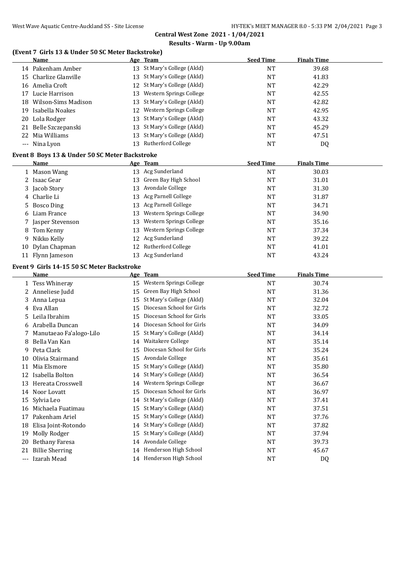#### **(Event 7 Girls 13 & Under 50 SC Meter Backstroke)**

|    | <u>Name</u>                                    |    | Age Team                                             | <b>Seed Time</b> | <b>Finals Time</b> |  |
|----|------------------------------------------------|----|------------------------------------------------------|------------------|--------------------|--|
|    | 14 Pakenham Amber                              |    | 13 St Mary's College (Akld)                          | <b>NT</b>        | 39.68              |  |
|    | 15 Charlize Glanville                          |    | 13 St Mary's College (Akld)                          | <b>NT</b>        | 41.83              |  |
|    | 16 Amelia Croft                                |    | 12 St Mary's College (Akld)                          | <b>NT</b>        | 42.29              |  |
|    | 17 Lucie Harrison                              |    | 13 Western Springs College                           | NT               | 42.55              |  |
|    | 18 Wilson-Sims Madison                         |    | 13 St Mary's College (Akld)                          | NT               | 42.82              |  |
|    | 19 Isabella Noakes                             |    | 12 Western Springs College                           | <b>NT</b>        | 42.95              |  |
|    | 20 Lola Rodger                                 |    | 13 St Mary's College (Akld)                          | NT               | 43.32              |  |
|    | 21 Belle Szczepanski                           |    | 13 St Mary's College (Akld)                          | <b>NT</b>        | 45.29              |  |
|    | 22 Mia Williams                                |    | 13 St Mary's College (Akld)                          | <b>NT</b>        | 47.51              |  |
|    | --- Nina Lyon                                  |    | 13 Rutherford College                                | NT               | DQ                 |  |
|    | Event 8 Boys 13 & Under 50 SC Meter Backstroke |    |                                                      |                  |                    |  |
|    | Name                                           |    | Age Team                                             | <b>Seed Time</b> | <b>Finals Time</b> |  |
|    | 1 Mason Wang                                   |    | 13 Acg Sunderland                                    | <b>NT</b>        | 30.03              |  |
|    | 2 Isaac Gear                                   |    | 13 Green Bay High School                             | <b>NT</b>        | 31.01              |  |
|    | 3 Jacob Story                                  |    | 13 Avondale College                                  | NT               | 31.30              |  |
|    | 4 Charlie Li                                   |    | 13 Acg Parnell College                               | <b>NT</b>        | 31.87              |  |
| 5. | <b>Bosco Ding</b>                              |    | 13 Acg Parnell College                               | <b>NT</b>        | 34.71              |  |
|    | 6 Liam France                                  |    | 13 Western Springs College                           | <b>NT</b>        | 34.90              |  |
|    | 7 Jasper Stevenson                             |    | 13 Western Springs College                           | NT               | 35.16              |  |
|    | 8 Tom Kenny                                    |    | 13 Western Springs College                           | NT               | 37.34              |  |
|    | 9 Nikko Kelly                                  |    | 12 Acg Sunderland                                    | NT               | 39.22              |  |
|    | 10 Dylan Chapman                               |    | 12 Rutherford College                                | NT               | 41.01              |  |
|    | 11 Flynn Jameson                               |    | 13 Acg Sunderland                                    | <b>NT</b>        | 43.24              |  |
|    |                                                |    |                                                      |                  |                    |  |
|    |                                                |    |                                                      |                  |                    |  |
|    | Event 9 Girls 14-15 50 SC Meter Backstroke     |    |                                                      |                  |                    |  |
|    | <u>Name</u>                                    |    | Age Team                                             | <b>Seed Time</b> | <b>Finals Time</b> |  |
|    | 1 Tess Whineray                                |    | 15 Western Springs College                           | <b>NT</b>        | 30.74              |  |
|    | 2 Anneliese Judd                               |    | 15 Green Bay High School                             | <b>NT</b>        | 31.36              |  |
|    | 3 Anna Lepua                                   |    | 15 St Mary's College (Akld)                          | NT               | 32.04              |  |
|    | 4 Eva Allan                                    |    | 15 Diocesan School for Girls                         | NT               | 32.72              |  |
|    | 5 Leila Ibrahim                                |    | 15 Diocesan School for Girls                         | NT               | 33.05              |  |
|    | 6 Arabella Duncan                              |    | 14 Diocesan School for Girls                         | NT               | 34.09              |  |
|    | 7 Manutaeao Fa'alogo-Lilo                      |    | 15 St Mary's College (Akld)                          | NT               | 34.14              |  |
|    | 8 Bella Van Kan                                |    | 14 Waitakere College                                 | <b>NT</b>        | 35.14              |  |
| 9. | Peta Clark                                     |    | 15 Diocesan School for Girls                         | <b>NT</b>        | 35.24              |  |
| 10 | Olivia Stairmand                               |    | 15 Avondale College                                  | <b>NT</b>        | 35.61              |  |
| 11 | Mia Elsmore                                    |    | 15 St Mary's College (Akld)                          | NT               | 35.80              |  |
|    | 12 Isabella Bolton                             | 14 | St Mary's College (Akld)                             | <b>NT</b>        | 36.54              |  |
|    | 13 Hereata Crosswell                           | 14 | Western Springs College                              | NT               | 36.67              |  |
|    | 14 Noor Lovatt                                 | 15 | Diocesan School for Girls                            | NT               | 36.97              |  |
|    | 15 Sylvia Leo                                  | 14 | St Mary's College (Akld)                             | NT               | 37.41              |  |
|    | 16 Michaela Fuatimau                           | 15 | St Mary's College (Akld)                             | NT               | 37.51              |  |
|    | 17 Pakenham Ariel                              | 15 | St Mary's College (Akld)                             | NT               | 37.76              |  |
|    | 18 Elisa Joint-Rotondo                         | 14 | St Mary's College (Akld)                             | NT               | 37.82              |  |
| 19 | Molly Rodger                                   | 15 | St Mary's College (Akld)                             | NT               | 37.94              |  |
| 20 | <b>Bethany Faresa</b>                          |    | 14 Avondale College                                  | NT               | 39.73              |  |
| 21 | <b>Billie Sherring</b><br>--- Izarah Mead      |    | 14 Henderson High School<br>14 Henderson High School | NT<br>$\rm{NT}$  | 45.67<br>DQ        |  |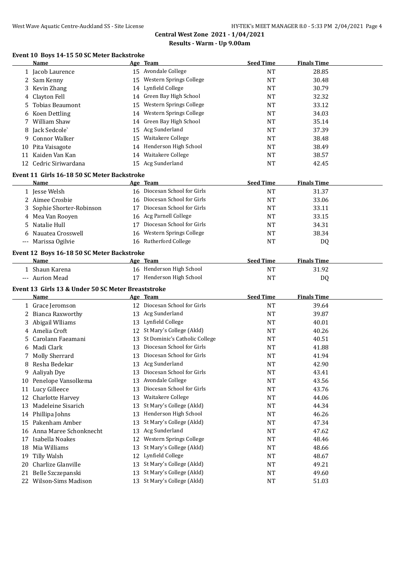#### **Event 10 Boys 14-15 50 SC Meter Backstroke**

|    | Name                                               |    | Age Team                         | <b>Seed Time</b> | <b>Finals Time</b> |  |
|----|----------------------------------------------------|----|----------------------------------|------------------|--------------------|--|
|    | 1 Jacob Laurence                                   |    | 15 Avondale College              | <b>NT</b>        | 28.85              |  |
|    | 2 Sam Kenny                                        |    | 15 Western Springs College       | <b>NT</b>        | 30.48              |  |
| 3  | Kevin Zhang                                        |    | 14 Lynfield College              | <b>NT</b>        | 30.79              |  |
| 4  | Clayton Fell                                       |    | 14 Green Bay High School         | <b>NT</b>        | 32.32              |  |
| 5  | <b>Tobias Beaumont</b>                             | 15 | Western Springs College          | <b>NT</b>        | 33.12              |  |
| 6  | <b>Koen Dettling</b>                               |    | 14 Western Springs College       | NT               | 34.03              |  |
| 7  | William Shaw                                       |    | 14 Green Bay High School         | <b>NT</b>        | 35.14              |  |
| 8  | Jack Sedcole`                                      | 15 | Acg Sunderland                   | NT               | 37.39              |  |
| 9  | <b>Connor Walker</b>                               | 15 | Waitakere College                | <b>NT</b>        | 38.48              |  |
|    | 10 Pita Vaisagote                                  |    | 14 Henderson High School         | <b>NT</b>        | 38.49              |  |
|    | 11 Kaiden Van Kan                                  |    | 14 Waitakere College             | <b>NT</b>        | 38.57              |  |
|    | 12 Cedric Siriwardana                              |    | 15 Acg Sunderland                | <b>NT</b>        | 42.45              |  |
|    |                                                    |    |                                  |                  |                    |  |
|    | Event 11 Girls 16-18 50 SC Meter Backstroke        |    |                                  |                  |                    |  |
|    | <b>Name</b>                                        |    | Age Team                         | <b>Seed Time</b> | <b>Finals Time</b> |  |
|    | 1 Jesse Welsh                                      |    | 16 Diocesan School for Girls     | <b>NT</b>        | 31.37              |  |
|    | 2 Aimee Crosbie                                    |    | 16 Diocesan School for Girls     | <b>NT</b>        | 33.06              |  |
| 3  | Sophie Shorter-Robinson                            |    | 17 Diocesan School for Girls     | <b>NT</b>        | 33.11              |  |
|    | 4 Mea Van Rooyen                                   |    | 16 Acg Parnell College           | <b>NT</b>        | 33.15              |  |
| 5  | Natalie Hull                                       |    | 17 Diocesan School for Girls     | <b>NT</b>        | 34.31              |  |
|    | Nauatea Crosswell                                  |    | 16 Western Springs College       | <b>NT</b>        | 38.34              |  |
|    | --- Marissa Ogilvie                                |    | 16 Rutherford College            | <b>NT</b>        | DQ                 |  |
|    | Event 12 Boys 16-18 50 SC Meter Backstroke         |    |                                  |                  |                    |  |
|    | Name                                               |    | Age Team                         | <b>Seed Time</b> | <b>Finals Time</b> |  |
|    | 1 Shaun Karena                                     |    | 16 Henderson High School         | <b>NT</b>        | 31.92              |  |
|    | --- Aurion Mead                                    |    | 17 Henderson High School         | <b>NT</b>        |                    |  |
|    |                                                    |    |                                  |                  | DQ                 |  |
|    | Event 13 Girls 13 & Under 50 SC Meter Breaststroke |    |                                  |                  |                    |  |
|    | Name                                               |    | Age Team                         | <b>Seed Time</b> | <b>Finals Time</b> |  |
|    | 1 Grace Jeromson                                   |    | 12 Diocesan School for Girls     | <b>NT</b>        | 39.64              |  |
|    | 2 Bianca Raxworthy                                 |    | 13 Acg Sunderland                | <b>NT</b>        | 39.87              |  |
|    | 3 Abigail Wlliams                                  |    | 13 Lynfield College              | <b>NT</b>        | 40.01              |  |
| 4  | Amelia Croft                                       |    | 12 St Mary's College (Akld)      | <b>NT</b>        | 40.26              |  |
| 5  | Carolann Faeamani                                  |    | 13 St Dominic's Catholic College | <b>NT</b>        | 40.51              |  |
| 6  | Madi Clark                                         |    | 13 Diocesan School for Girls     | NT               | 41.88              |  |
|    | <b>Molly Sherrard</b>                              |    | 13 Diocesan School for Girls     | <b>NT</b>        | 41.94              |  |
|    | 8 Resha Bedekar                                    |    | 13 Acg Sunderland                | <b>NT</b>        | 42.90              |  |
| 9  | Aaliyah Dye                                        | 13 | Diocesan School for Girls        | NT               | 43.41              |  |
| 10 | Penelope Vansolkema                                | 13 | Avondale College                 | <b>NT</b>        | 43.56              |  |
| 11 | Lucy Gilleece                                      | 13 | Diocesan School for Girls        | <b>NT</b>        | 43.76              |  |
| 12 | Charlotte Harvey                                   | 13 | Waitakere College                | NT               | 44.06              |  |
| 13 | Madeleine Sisarich                                 | 13 | St Mary's College (Akld)         | NT               | 44.34              |  |
|    | 14 Phillipa Johns                                  | 13 | Henderson High School            | NT               | 46.26              |  |
|    | 15 Pakenham Amber                                  | 13 | St Mary's College (Akld)         | NT               | 47.34              |  |
|    | 16 Anna Maree Schonknecht                          | 13 | Acg Sunderland                   | NT               | 47.62              |  |
|    | 17 Isabella Noakes                                 | 12 | Western Springs College          | NT               | 48.46              |  |
|    | 18 Mia Williams                                    | 13 | St Mary's College (Akld)         | NT               | 48.66              |  |
| 19 | Tilly Walsh                                        | 12 | Lynfield College                 | NT               | 48.67              |  |
| 20 | Charlize Glanville                                 |    | 13 St Mary's College (Akld)      | NT               | 49.21              |  |
|    | 21 Belle Szczepanski                               | 13 | St Mary's College (Akld)         | NT               | 49.60              |  |
|    | 22 Wilson-Sims Madison                             |    | 13 St Mary's College (Akld)      | NT               | 51.03              |  |
|    |                                                    |    |                                  |                  |                    |  |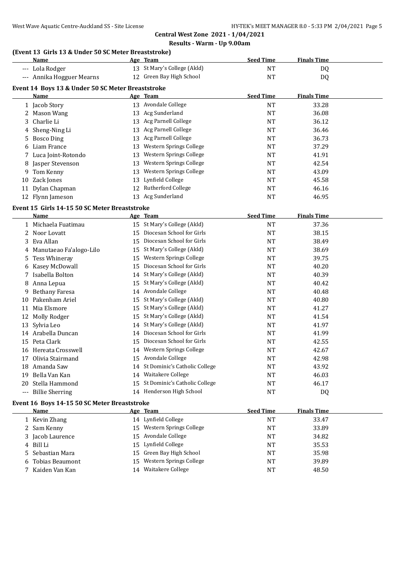#### **(Event 13 Girls 13 & Under 50 SC Meter Breaststroke)**

|    | <u>Name</u>                                       |    | Age Team                         | <b>Seed Time</b> | <b>Finals Time</b> |  |
|----|---------------------------------------------------|----|----------------------------------|------------------|--------------------|--|
|    | --- Lola Rodger                                   |    | 13 St Mary's College (Akld)      | <b>NT</b>        | DQ                 |  |
|    | --- Annika Hogguer Mearns                         |    | 12 Green Bay High School         | <b>NT</b>        | DQ                 |  |
|    | Event 14 Boys 13 & Under 50 SC Meter Breaststroke |    |                                  |                  |                    |  |
|    | Name                                              |    | Age Team                         | <b>Seed Time</b> | <b>Finals Time</b> |  |
|    | 1 Jacob Story                                     |    | 13 Avondale College              | <b>NT</b>        | 33.28              |  |
|    | 2 Mason Wang                                      |    | 13 Acg Sunderland                | <b>NT</b>        | 36.08              |  |
|    | 3 Charlie Li                                      |    | 13 Acg Parnell College           | <b>NT</b>        | 36.12              |  |
|    | 4 Sheng-Ning Li                                   |    | 13 Acg Parnell College           | <b>NT</b>        | 36.46              |  |
|    | 5 Bosco Ding                                      |    | 13 Acg Parnell College           | NT               | 36.73              |  |
|    | 6 Liam France                                     |    | 13 Western Springs College       | NT               | 37.29              |  |
|    | 7 Luca Joint-Rotondo                              |    | 13 Western Springs College       | <b>NT</b>        | 41.91              |  |
|    | 8 Jasper Stevenson                                |    | 13 Western Springs College       | <b>NT</b>        | 42.54              |  |
|    | 9 Tom Kenny                                       |    | 13 Western Springs College       | <b>NT</b>        | 43.09              |  |
|    | 10 Zack Jones                                     |    | 13 Lynfield College              | <b>NT</b>        | 45.58              |  |
|    | 11 Dylan Chapman                                  |    | 12 Rutherford College            | <b>NT</b>        | 46.16              |  |
|    | 12 Flynn Jameson                                  |    | 13 Acg Sunderland                | <b>NT</b>        | 46.95              |  |
|    | Event 15 Girls 14-15 50 SC Meter Breaststroke     |    |                                  |                  |                    |  |
|    | Name                                              |    | Age Team                         | <b>Seed Time</b> | <b>Finals Time</b> |  |
|    | 1 Michaela Fuatimau                               |    | 15 St Mary's College (Akld)      | NT               | 37.36              |  |
|    | 2 Noor Lovatt                                     |    | 15 Diocesan School for Girls     | <b>NT</b>        | 38.15              |  |
|    | 3 Eva Allan                                       |    | 15 Diocesan School for Girls     | <b>NT</b>        | 38.49              |  |
|    | 4 Manutaeao Fa'alogo-Lilo                         |    | 15 St Mary's College (Akld)      | <b>NT</b>        | 38.69              |  |
| 5. | Tess Whineray                                     |    | 15 Western Springs College       | <b>NT</b>        | 39.75              |  |
|    | 6 Kasey McDowall                                  |    | 15 Diocesan School for Girls     | <b>NT</b>        | 40.20              |  |
|    | 7 Isabella Bolton                                 |    | 14 St Mary's College (Akld)      | NT               | 40.39              |  |
|    | 8 Anna Lepua                                      |    | 15 St Mary's College (Akld)      | NT               | 40.42              |  |
|    | 9 Bethany Faresa                                  |    | 14 Avondale College              | NT               | 40.48              |  |
|    | 10 Pakenham Ariel                                 |    | 15 St Mary's College (Akld)      | <b>NT</b>        | 40.80              |  |
|    | 11 Mia Elsmore                                    |    | 15 St Mary's College (Akld)      | NT               | 41.27              |  |
|    | 12 Molly Rodger                                   |    | 15 St Mary's College (Akld)      | NT               | 41.54              |  |
|    | 13 Sylvia Leo                                     |    | 14 St Mary's College (Akld)      | <b>NT</b>        | 41.97              |  |
|    | 14 Arabella Duncan                                |    | 14 Diocesan School for Girls     | <b>NT</b>        | 41.99              |  |
|    | 15 Peta Clark                                     | 15 | Diocesan School for Girls        | <b>NT</b>        | 42.55              |  |
|    | 16 Hereata Crosswell                              |    | 14 Western Springs College       | NT               | 42.67              |  |
|    | 17 Olivia Stairmand                               |    | 15 Avondale College              | NT               | 42.98              |  |
|    | 18 Amanda Saw                                     |    | 14 St Dominic's Catholic College | <b>NT</b>        | 43.92              |  |
|    | 19 Bella Van Kan                                  |    | 14 Waitakere College             | NT               | 46.03              |  |
|    | 20 Stella Hammond                                 |    | 15 St Dominic's Catholic College | NT               | 46.17              |  |
|    | --- Billie Sherring                               |    | 14 Henderson High School         | <b>NT</b>        | DQ                 |  |
|    | Event 16 Boys 14-15 50 SC Meter Breaststroke      |    |                                  |                  |                    |  |

| Name              |  | <b>Seed Time</b>                                                                                                                                                                                     | <b>Finals Time</b> |
|-------------------|--|------------------------------------------------------------------------------------------------------------------------------------------------------------------------------------------------------|--------------------|
| 1 Kevin Zhang     |  | NΤ                                                                                                                                                                                                   | 33.47              |
| 2 Sam Kenny       |  | NT                                                                                                                                                                                                   | 33.89              |
| 3 Jacob Laurence  |  | NT                                                                                                                                                                                                   | 34.82              |
| 4 Bill Li         |  | NT                                                                                                                                                                                                   | 35.53              |
| 5 Sebastian Mara  |  | NT                                                                                                                                                                                                   | 35.98              |
| 6 Tobias Beaumont |  | NT                                                                                                                                                                                                   | 39.89              |
| 7 Kaiden Van Kan  |  | NT                                                                                                                                                                                                   | 48.50              |
|                   |  | Age Team<br>14 Lynfield College<br>15 Western Springs College<br>15 Avondale College<br>15 Lynfield College<br>15 Green Bay High School<br>Western Springs College<br>15.<br>Waitakere College<br>14 |                    |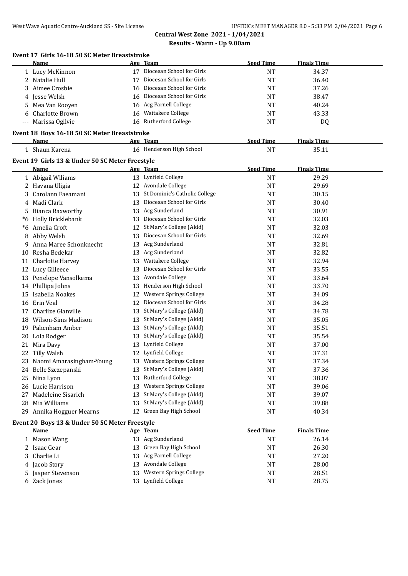|     | Event 17 Girls 16-18 50 SC Meter Breaststroke   |     |                                  |                  |                    |  |
|-----|-------------------------------------------------|-----|----------------------------------|------------------|--------------------|--|
|     | Name                                            |     | Age Team                         | <b>Seed Time</b> | <b>Finals Time</b> |  |
|     | 1 Lucy McKinnon                                 |     | 17 Diocesan School for Girls     | NT               | 34.37              |  |
|     | 2 Natalie Hull                                  |     | 17 Diocesan School for Girls     | <b>NT</b>        | 36.40              |  |
| 3   | Aimee Crosbie                                   | 16  | Diocesan School for Girls        | NT               | 37.26              |  |
|     | 4 Jesse Welsh                                   | 16  | Diocesan School for Girls        | NT               | 38.47              |  |
| 5   | Mea Van Rooyen                                  |     | 16 Acg Parnell College           | NT               | 40.24              |  |
| 6   | Charlotte Brown                                 | 16  | Waitakere College                | NT               | 43.33              |  |
| --- | Marissa Ogilvie                                 |     | 16 Rutherford College            | NT               | DQ                 |  |
|     | Event 18 Boys 16-18 50 SC Meter Breaststroke    |     |                                  |                  |                    |  |
|     | Name                                            |     | Age Team                         | <b>Seed Time</b> | <b>Finals Time</b> |  |
|     | 1 Shaun Karena                                  |     | 16 Henderson High School         | <b>NT</b>        | 35.11              |  |
|     | Event 19 Girls 13 & Under 50 SC Meter Freestyle |     |                                  |                  |                    |  |
|     | Name                                            |     | Age Team                         | <b>Seed Time</b> | <b>Finals Time</b> |  |
|     | 1 Abigail Wlliams                               |     | 13 Lynfield College              | NT               | 29.29              |  |
| 2   | Havana Uligia                                   |     | 12 Avondale College              | <b>NT</b>        | 29.69              |  |
| 3   | Carolann Faeamani                               |     | 13 St Dominic's Catholic College | <b>NT</b>        | 30.15              |  |
| 4   | Madi Clark                                      | 13  | Diocesan School for Girls        | <b>NT</b>        | 30.40              |  |
| 5   | Bianca Raxworthy                                | 13  | Acg Sunderland                   | <b>NT</b>        | 30.91              |  |
| *6  | Holly Bricklebank                               | 13  | Diocesan School for Girls        | <b>NT</b>        | 32.03              |  |
| *6  | Amelia Croft                                    | 12  | St Mary's College (Akld)         | NT               | 32.03              |  |
| 8   | Abby Welsh                                      | 13  | Diocesan School for Girls        | NT               | 32.69              |  |
| 9   | Anna Maree Schonknecht                          |     | 13 Acg Sunderland                | NT               | 32.81              |  |
| 10  | Resha Bedekar                                   |     | 13 Acg Sunderland                | NT               | 32.82              |  |
|     | 11 Charlotte Harvey                             |     | 13 Waitakere College             | NT               | 32.94              |  |
|     | 12 Lucy Gilleece                                | 13  | Diocesan School for Girls        | NT               | 33.55              |  |
|     | 13 Penelope Vansolkema                          |     | 13 Avondale College              | NT               | 33.64              |  |
|     | 14 Phillipa Johns                               |     | 13 Henderson High School         | NT               | 33.70              |  |
| 15  | Isabella Noakes                                 |     | 12 Western Springs College       | NT               | 34.09              |  |
| 16  | Erin Veal                                       |     | 12 Diocesan School for Girls     | NT               | 34.28              |  |
| 17  | Charlize Glanville                              |     | 13 St Mary's College (Akld)      | NT               | 34.78              |  |
| 18  | Wilson-Sims Madison                             |     | 13 St Mary's College (Akld)      | NT               | 35.05              |  |
| 19  | Pakenham Amber                                  |     | 13 St Mary's College (Akld)      | NT               | 35.51              |  |
| 20  | Lola Rodger                                     |     | 13 St Mary's College (Akld)      | NT               | 35.54              |  |
| 21  | Mira Davy                                       |     | 13 Lynfield College              | NT               | 37.00              |  |
|     | 22 Tilly Walsh                                  |     | 12 Lynfield College              | NT               | 37.31              |  |
|     | 23 Naomi Amarasingham-Young                     | 13. | Western Springs College          |                  | 37.34              |  |
|     | Belle Szczepanski                               | 13  | St Mary's College (Akld)         | NT               | 37.36              |  |
| 24  |                                                 | 13  | Rutherford College               | NT               |                    |  |
| 25  | Nina Lyon<br>26 Lucie Harrison                  |     | Western Springs College          | NT               | 38.07              |  |
|     |                                                 | 13  | St Mary's College (Akld)         | NT               | 39.06              |  |
| 27  | Madeleine Sisarich                              | 13  |                                  | NT               | 39.07              |  |
| 28  | Mia Williams                                    | 13  | St Mary's College (Akld)         | NT               | 39.88              |  |
|     | 29 Annika Hogguer Mearns                        |     | 12 Green Bay High School         | NT               | 40.34              |  |
|     | Event 20 Boys 13 & Under 50 SC Meter Freestyle  |     |                                  |                  |                    |  |
|     | <b>Name</b>                                     |     | $A_{\alpha\alpha}$ Taam          | Sood Timo        | Finale Time        |  |

| Name               | Age Team                   | <b>Seed Time</b> | <b>Finals Time</b> |
|--------------------|----------------------------|------------------|--------------------|
| Mason Wang         | 13 Acg Sunderland          | <b>NT</b>        | 26.14              |
| 2 Isaac Gear       | 13 Green Bay High School   | <b>NT</b>        | 26.30              |
| 3 Charlie Li       | 13 Acg Parnell College     | NT               | 27.20              |
| 4 Jacob Story      | 13 Avondale College        | <b>NT</b>        | 28.00              |
| 5 Jasper Stevenson | 13 Western Springs College | NT               | 28.51              |
| 6 Zack Jones       | 13 Lynfield College        | <b>NT</b>        | 28.75              |
|                    |                            |                  |                    |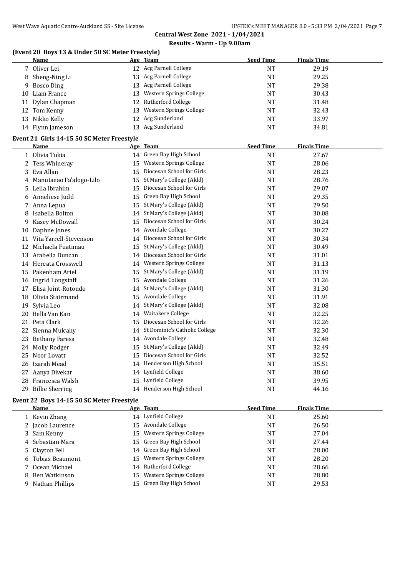#### **(Event 20 Boys 13 & Under 50 SC Meter Freestyle)**

|    | <b>Name</b>                                |    | Age Team                     | <b>Seed Time</b> | <b>Finals Time</b> |  |
|----|--------------------------------------------|----|------------------------------|------------------|--------------------|--|
|    | 7 Oliver Lei                               |    | 12 Acg Parnell College       | NT               | 29.19              |  |
|    | 8 Sheng-Ning Li                            |    | 13 Acg Parnell College       | <b>NT</b>        | 29.25              |  |
|    | 9 Bosco Ding                               |    | 13 Acg Parnell College       | NT               | 29.38              |  |
| 10 | Liam France                                | 13 | Western Springs College      | <b>NT</b>        | 30.43              |  |
|    | 11 Dylan Chapman                           | 12 | Rutherford College           | NT               | 31.48              |  |
|    | 12 Tom Kenny                               | 13 | Western Springs College      | <b>NT</b>        | 32.43              |  |
|    | 13 Nikko Kelly                             | 12 | Acg Sunderland               | NT               | 33.97              |  |
|    | 14 Flynn Jameson                           |    | 13 Acg Sunderland            | NT               | 34.81              |  |
|    | Event 21 Girls 14-15 50 SC Meter Freestyle |    |                              |                  |                    |  |
|    | Name                                       |    | Age Team                     | <b>Seed Time</b> | <b>Finals Time</b> |  |
|    | 1 Olivia Tukia                             |    | 14 Green Bay High School     | NT               | 27.67              |  |
|    | 2 Tess Whineray                            | 15 | Western Springs College      | NT               | 28.06              |  |
|    | 3 Eva Allan                                |    | 15 Diocesan School for Girls | <b>NT</b>        | 28.23              |  |
|    | A Manutaean Fa'alogo-Lilo                  |    | 15 St Mary's College (Akld)  | NT               | 28.76              |  |

|    | Eva Allan               |    | DIULESAII JUIUUI IUI UII IS   | IN 1      | 20.ZJ |
|----|-------------------------|----|-------------------------------|-----------|-------|
| 4  | Manutaeao Fa'alogo-Lilo | 15 | St Mary's College (Akld)      | NT        | 28.76 |
| 5. | Leila Ibrahim           | 15 | Diocesan School for Girls     | <b>NT</b> | 29.07 |
| 6  | Anneliese Judd          | 15 | Green Bay High School         | NT        | 29.35 |
|    | Anna Lepua              | 15 | St Mary's College (Akld)      | NT        | 29.50 |
|    | Isabella Bolton         | 14 | St Mary's College (Akld)      | <b>NT</b> | 30.08 |
| 9  | Kasey McDowall          | 15 | Diocesan School for Girls     | <b>NT</b> | 30.24 |
| 10 | Daphne Jones            | 14 | Avondale College              | NT        | 30.27 |
| 11 | Vita Yarrell-Stevenson  | 14 | Diocesan School for Girls     | <b>NT</b> | 30.34 |
| 12 | Michaela Fuatimau       | 15 | St Mary's College (Akld)      | <b>NT</b> | 30.49 |
| 13 | Arabella Duncan         | 14 | Diocesan School for Girls     | <b>NT</b> | 31.01 |
| 14 | Hereata Crosswell       | 14 | Western Springs College       | NT        | 31.13 |
| 15 | Pakenham Ariel          | 15 | St Mary's College (Akld)      | <b>NT</b> | 31.19 |
| 16 | <b>Ingrid Longstaff</b> | 15 | Avondale College              | <b>NT</b> | 31.26 |
| 17 | Elisa Joint-Rotondo     | 14 | St Mary's College (Akld)      | NT        | 31.30 |
| 18 | Olivia Stairmand        | 15 | Avondale College              | <b>NT</b> | 31.91 |
| 19 | Sylvia Leo              | 14 | St Mary's College (Akld)      | NT        | 32.08 |
| 20 | Bella Van Kan           | 14 | Waitakere College             | <b>NT</b> | 32.25 |
| 21 | Peta Clark              | 15 | Diocesan School for Girls     | NT        | 32.26 |
| 22 | Sienna Mulcahy          | 14 | St Dominic's Catholic College | <b>NT</b> | 32.30 |
| 23 | <b>Bethany Faresa</b>   | 14 | Avondale College              | NT        | 32.48 |
| 24 | Molly Rodger            | 15 | St Mary's College (Akld)      | <b>NT</b> | 32.49 |
| 25 | Noor Lovatt             | 15 | Diocesan School for Girls     | <b>NT</b> | 32.52 |
| 26 | Izarah Mead             | 14 | Henderson High School         | <b>NT</b> | 35.51 |
| 27 | Aanya Divekar           | 14 | Lynfield College              | <b>NT</b> | 38.60 |
| 28 | Francesca Walsh         | 15 | Lynfield College              | <b>NT</b> | 39.95 |
| 29 | <b>Billie Sherring</b>  |    | 14 Henderson High School      | <b>NT</b> | 44.16 |

### **Event 22 Boys 14-15 50 SC Meter Freestyle**

| <b>Name</b>       |     | Age Team                   | <b>Seed Time</b> | <b>Finals Time</b> |
|-------------------|-----|----------------------------|------------------|--------------------|
| 1 Kevin Zhang     |     | 14 Lynfield College        | NT               | 25.60              |
| 2 Jacob Laurence  | 15. | Avondale College           | NT               | 26.50              |
| 3 Sam Kenny       |     | 15 Western Springs College | NT               | 27.04              |
| 4 Sebastian Mara  |     | 15 Green Bay High School   | NT               | 27.44              |
| 5 Clayton Fell    |     | 14 Green Bay High School   | NT               | 28.00              |
| 6 Tobias Beaumont | 15. | Western Springs College    | NT               | 28.20              |
| 7 Ocean Michael   |     | 14 Rutherford College      | NT               | 28.66              |
| 8 Ben Watkinson   | 15. | Western Springs College    | NT               | 28.80              |
| 9 Nathan Phillips |     | 15 Green Bay High School   | NT               | 29.53              |
|                   |     |                            |                  |                    |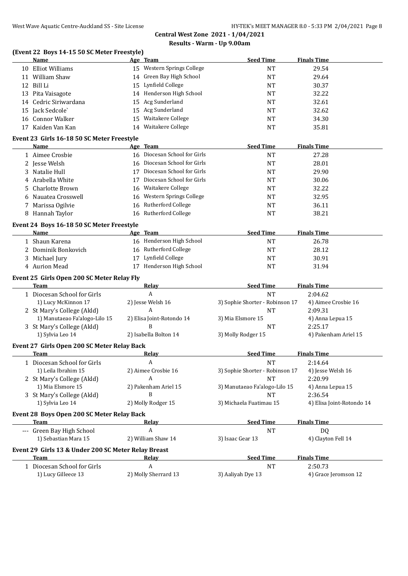### **(Event 22 Boys 14-15 50 SC Meter Freestyle)**

|    | <b>Name</b>                                         |    | Age Team                     | <b>Seed Time</b>                | <b>Finals Time</b>        |
|----|-----------------------------------------------------|----|------------------------------|---------------------------------|---------------------------|
|    | 10 Elliot Williams                                  |    | 15 Western Springs College   | <b>NT</b>                       | 29.54                     |
|    | 11 William Shaw                                     |    | 14 Green Bay High School     | <b>NT</b>                       | 29.64                     |
|    | 12 Bill Li                                          | 15 | Lynfield College             | NT                              | 30.37                     |
|    | 13 Pita Vaisagote                                   |    | 14 Henderson High School     | NT                              | 32.22                     |
|    | 14 Cedric Siriwardana                               | 15 | Acg Sunderland               | <b>NT</b>                       | 32.61                     |
|    | 15 Jack Sedcole'                                    | 15 | Acg Sunderland               | <b>NT</b>                       | 32.62                     |
|    | 16 Connor Walker                                    | 15 | Waitakere College            | <b>NT</b>                       | 34.30                     |
|    | 17 Kaiden Van Kan                                   | 14 | Waitakere College            | <b>NT</b>                       | 35.81                     |
|    | Event 23 Girls 16-18 50 SC Meter Freestyle          |    |                              |                                 |                           |
|    | Name                                                |    | Age Team                     | <b>Seed Time</b>                | <b>Finals Time</b>        |
|    | 1 Aimee Crosbie                                     |    | 16 Diocesan School for Girls | <b>NT</b>                       | 27.28                     |
|    | 2 Jesse Welsh                                       |    | 16 Diocesan School for Girls | <b>NT</b>                       | 28.01                     |
|    | 3 Natalie Hull                                      | 17 | Diocesan School for Girls    | <b>NT</b>                       | 29.90                     |
| 4  | Arabella White                                      | 17 | Diocesan School for Girls    | <b>NT</b>                       | 30.06                     |
| 5. | Charlotte Brown                                     | 16 | Waitakere College            | <b>NT</b>                       | 32.22                     |
|    | 6 Nauatea Crosswell                                 | 16 | Western Springs College      | <b>NT</b>                       | 32.95                     |
|    | 7 Marissa Ogilvie                                   | 16 | <b>Rutherford College</b>    | <b>NT</b>                       | 36.11                     |
|    | 8 Hannah Taylor                                     | 16 | <b>Rutherford College</b>    | <b>NT</b>                       | 38.21                     |
|    | Event 24 Boys 16-18 50 SC Meter Freestyle           |    |                              |                                 |                           |
|    | Name                                                |    | Age Team                     | <b>Seed Time</b>                | <b>Finals Time</b>        |
|    | 1 Shaun Karena                                      |    | 16 Henderson High School     | <b>NT</b>                       | 26.78                     |
|    | 2 Dominik Bonkovich                                 |    | 16 Rutherford College        | <b>NT</b>                       | 28.12                     |
|    | 3 Michael Jury                                      | 17 | Lynfield College             | NT                              | 30.91                     |
|    | 4 Aurion Mead                                       |    | 17 Henderson High School     | <b>NT</b>                       | 31.94                     |
|    | Event 25 Girls Open 200 SC Meter Relay Fly          |    |                              |                                 |                           |
|    | <b>Team</b>                                         |    | Relay                        | <b>Seed Time</b>                | <b>Finals Time</b>        |
|    | 1 Diocesan School for Girls                         |    | $\overline{A}$               | <b>NT</b>                       | 2:04.62                   |
|    | 1) Lucy McKinnon 17                                 |    | 2) Jesse Welsh 16            | 3) Sophie Shorter - Robinson 17 | 4) Aimee Crosbie 16       |
|    | 2 St Mary's College (Akld)                          |    | A                            | <b>NT</b>                       | 2:09.31                   |
|    | 1) Manutaeao Fa'alogo-Lilo 15                       |    | 2) Elisa Joint-Rotondo 14    | 3) Mia Elsmore 15               | 4) Anna Lepua 15          |
|    | 3 St Mary's College (Akld)                          |    | B                            | <b>NT</b>                       | 2:25.17                   |
|    | 1) Sylvia Leo 14                                    |    | 2) Isabella Bolton 14        | 3) Molly Rodger 15              | 4) Pakenham Ariel 15      |
|    | Event 27 Girls Open 200 SC Meter Relay Back         |    |                              |                                 |                           |
|    | Team                                                |    | <u>Relay</u>                 | <b>Seed Time</b>                | <b>Finals Time</b>        |
|    | 1 Diocesan School for Girls                         |    | A                            | NT                              | 2:14.64                   |
|    | 1) Leila Ibrahim 15                                 |    | 2) Aimee Crosbie 16          | 3) Sophie Shorter - Robinson 17 | 4) Jesse Welsh 16         |
|    | 2 St Mary's College (Akld)                          |    | A                            | NT                              | 2:20.99                   |
|    | 1) Mia Elsmore 15                                   |    | 2) Pakenham Ariel 15         | 3) Manutaeao Fa'alogo-Lilo 15   | 4) Anna Lepua 15          |
|    | 3 St Mary's College (Akld)                          |    | B                            | <b>NT</b>                       | 2:36.54                   |
|    | 1) Sylvia Leo 14                                    |    | 2) Molly Rodger 15           | 3) Michaela Fuatimau 15         | 4) Elisa Joint-Rotondo 14 |
|    | Event 28 Boys Open 200 SC Meter Relay Back          |    |                              |                                 |                           |
|    | Team                                                |    | Relay                        | <b>Seed Time</b>                | <b>Finals Time</b>        |
|    | --- Green Bay High School                           |    | A                            | <b>NT</b>                       | DQ                        |
|    | 1) Sebastian Mara 15                                |    | 2) William Shaw 14           | 3) Isaac Gear 13                | 4) Clayton Fell 14        |
|    | Event 29 Girls 13 & Under 200 SC Meter Relay Breast |    |                              |                                 |                           |
|    | <b>Team</b>                                         |    | <b>Relay</b>                 | <b>Seed Time</b>                | <b>Finals Time</b>        |
|    | 1 Diocesan School for Girls                         |    | A                            | <b>NT</b>                       | 2:50.73                   |
|    | 1) Lucy Gilleece 13                                 |    | 2) Molly Sherrard 13         | 3) Aaliyah Dye 13               | 4) Grace Jeromson 12      |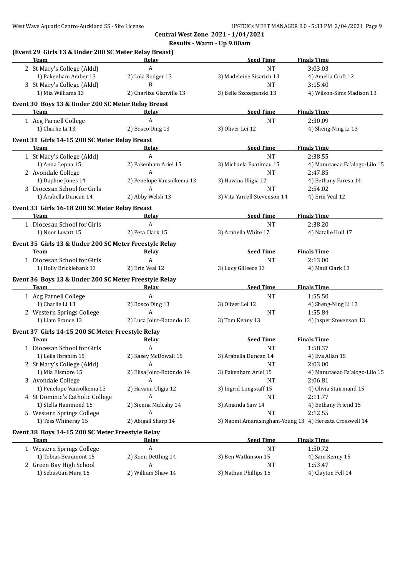| (Event 29 Girls 13 & Under 200 SC Meter Relay Breast)<br><b>Team</b> | Relav                     | <b>Seed Time</b>             | <b>Finals Time</b>                                     |
|----------------------------------------------------------------------|---------------------------|------------------------------|--------------------------------------------------------|
| 2 St Mary's College (Akld)                                           | $\mathbf{A}$              | <b>NT</b>                    | 3:03.03                                                |
| 1) Pakenham Amber 13                                                 | 2) Lola Rodger 13         | 3) Madeleine Sisarich 13     | 4) Amelia Croft 12                                     |
| 3 St Mary's College (Akld)                                           | B                         | <b>NT</b>                    | 3:15.40                                                |
| 1) Mia Williams 13                                                   | 2) Charlize Glanville 13  | 3) Belle Szczepanski 13      | 4) Wilson-Sims Madison 13                              |
| Event 30 Boys 13 & Under 200 SC Meter Relay Breast                   |                           |                              |                                                        |
| Team                                                                 | Relay                     | <b>Seed Time</b>             | <b>Finals Time</b>                                     |
| 1 Acg Parnell College                                                | A                         | <b>NT</b>                    | 2:30.09                                                |
| 1) Charlie Li 13                                                     | 2) Bosco Ding 13          | 3) Oliver Lei 12             | 4) Sheng-Ning Li 13                                    |
| Event 31 Girls 14-15 200 SC Meter Relay Breast                       |                           |                              |                                                        |
| Team                                                                 | Relay                     | <b>Seed Time</b>             | <b>Finals Time</b>                                     |
| 1 St Mary's College (Akld)                                           | $\boldsymbol{A}$          | <b>NT</b>                    | 2:38.55                                                |
| 1) Anna Lepua 15                                                     | 2) Pakenham Ariel 15      | 3) Michaela Fuatimau 15      | 4) Manutaeao Fa'alogo-Lilo 15                          |
| 2 Avondale College                                                   | A                         | <b>NT</b>                    | 2:47.85                                                |
| 1) Daphne Jones 14                                                   | 2) Penelope Vansolkema 13 | 3) Havana Uligia 12          | 4) Bethany Faresa 14                                   |
| 3 Diocesan School for Girls                                          | A                         | <b>NT</b>                    | 2:54.02                                                |
| 1) Arabella Duncan 14                                                | 2) Abby Welsh 13          | 3) Vita Yarrell-Stevenson 14 | 4) Erin Veal 12                                        |
| Event 33 Girls 16-18 200 SC Meter Relay Breast                       |                           |                              |                                                        |
| Team                                                                 | Relay                     | <b>Seed Time</b>             | <b>Finals Time</b>                                     |
| 1 Diocesan School for Girls                                          | A                         | <b>NT</b>                    | 2:38.20                                                |
| 1) Noor Lovatt 15                                                    | 2) Peta Clark 15          | 3) Arabella White 17         | 4) Natalie Hull 17                                     |
| Event 35 Girls 13 & Under 200 SC Meter Freestyle Relay               |                           |                              |                                                        |
| Team                                                                 | <b>Relay</b>              | <b>Seed Time</b>             | <b>Finals Time</b>                                     |
| 1 Diocesan School for Girls                                          | A                         | <b>NT</b>                    | 2:13.00                                                |
| 1) Holly Bricklebank 13                                              | 2) Erin Veal 12           | 3) Lucy Gilleece 13          | 4) Madi Clark 13                                       |
| Event 36 Boys 13 & Under 200 SC Meter Freestyle Relay                |                           |                              |                                                        |
| Team                                                                 | Relay                     | <b>Seed Time</b>             | <b>Finals Time</b>                                     |
| 1 Acg Parnell College                                                | $\boldsymbol{A}$          | <b>NT</b>                    | 1:55.50                                                |
| 1) Charlie Li 13                                                     | 2) Bosco Ding 13          | 3) Oliver Lei 12             | 4) Sheng-Ning Li 13                                    |
| 2 Western Springs College                                            | A                         | <b>NT</b>                    | 1:55.84                                                |
| 1) Liam France 13                                                    | 2) Luca Joint-Rotondo 13  | 3) Tom Kenny 13              | 4) Jasper Stevenson 13                                 |
| Event 37 Girls 14-15 200 SC Meter Freestyle Relay                    |                           |                              |                                                        |
| Team                                                                 | Relay                     | <b>Seed Time</b>             | <b>Finals Time</b>                                     |
| 1 Diocesan School for Girls                                          | A                         | <b>NT</b>                    | 1:58.37                                                |
| 1) Leila Ibrahim 15                                                  | 2) Kasey McDowall 15      | 3) Arabella Duncan 14        | 4) Eva Allan 15                                        |
| 2 St Mary's College (Akld)                                           | A                         | NT                           | 2:03.00                                                |
| 1) Mia Elsmore 15                                                    | 2) Elisa Joint-Rotondo 14 | 3) Pakenham Ariel 15         | 4) Manutaeao Fa'alogo-Lilo 15                          |
| 3 Avondale College                                                   | A                         | <b>NT</b>                    | 2:06.81                                                |
| 1) Penelope Vansolkema 13                                            | 2) Havana Uligia 12       | 3) Ingrid Longstaff 15       | 4) Olivia Stairmand 15                                 |
| 4 St Dominic's Catholic College                                      | A                         | <b>NT</b>                    | 2:11.77                                                |
| 1) Stella Hammond 15                                                 | 2) Sienna Mulcahy 14      | 3) Amanda Saw 14             | 4) Bethany Friend 15                                   |
| 5 Western Springs College                                            | A                         | <b>NT</b>                    | 2:12.55                                                |
| 1) Tess Whineray 15                                                  | 2) Abigail Sharp 14       |                              | 3) Naomi Amarasingham-Young 13 4) Hereata Crosswell 14 |
| Event 38 Boys 14-15 200 SC Meter Freestyle Relay                     |                           |                              |                                                        |
| Team                                                                 | <b>Relay</b>              | <b>Seed Time</b>             | <b>Finals Time</b>                                     |
| 1 Western Springs College                                            | A                         | <b>NT</b>                    | 1:50.72                                                |
| 1) Tobias Beaumont 15                                                | 2) Koen Dettling 14       | 3) Ben Watkinson 15          | 4) Sam Kenny 15                                        |
|                                                                      |                           |                              |                                                        |
| 2 Green Bay High School                                              | A                         | <b>NT</b>                    | 1:53.47                                                |